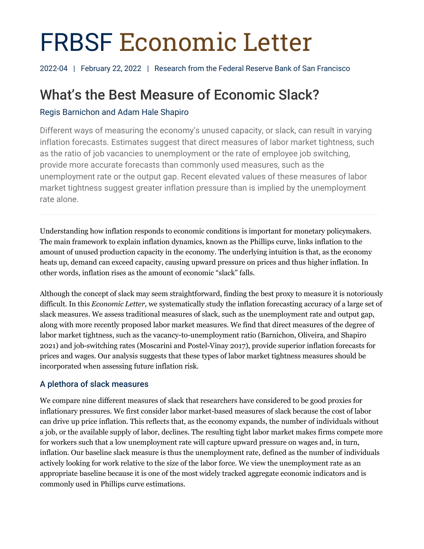# FRBSF Economic Letter

2022-04 | February 22, 2022 | Research from the Federal Reserve Bank of San Francisco

# What's the Best Measure of Economic Slack?

# Regis Barnichon and Adam Hale Shapiro

Different ways of measuring the economy's unused capacity, or slack, can result in varying inflation forecasts. Estimates suggest that direct measures of labor market tightness, such as the ratio of job vacancies to unemployment or the rate of employee job switching, provide more accurate forecasts than commonly used measures, such as the unemployment rate or the output gap. Recent elevated values of these measures of labor market tightness suggest greater inflation pressure than is implied by the unemployment rate alone.

Understanding how inflation responds to economic conditions is important for monetary policymakers. The main framework to explain inflation dynamics, known as the Phillips curve, links inflation to the amount of unused production capacity in the economy. The underlying intuition is that, as the economy heats up, demand can exceed capacity, causing upward pressure on prices and thus higher inflation. In other words, inflation rises as the amount of economic "slack" falls.

Although the concept of slack may seem straightforward, finding the best proxy to measure it is notoriously difficult. In this *Economic Letter,* we systematically study the inflation forecasting accuracy of a large set of slack measures. We assess traditional measures of slack, such as the unemployment rate and output gap, along with more recently proposed labor market measures. We find that direct measures of the degree of labor market tightness, such as the vacancy-to-unemployment ratio (Barnichon, Oliveira, and Shapiro 2021) and job-switching rates (Moscarini and Postel-Vinay 2017), provide superior inflation forecasts for prices and wages. Our analysis suggests that these types of labor market tightness measures should be incorporated when assessing future inflation risk.

## A plethora of slack measures

We compare nine different measures of slack that researchers have considered to be good proxies for inflationary pressures. We first consider labor market-based measures of slack because the cost of labor can drive up price inflation. This reflects that, as the economy expands, the number of individuals without a job, or the available supply of labor, declines. The resulting tight labor market makes firms compete more for workers such that a low unemployment rate will capture upward pressure on wages and, in turn, inflation. Our baseline slack measure is thus the unemployment rate, defined as the number of individuals actively looking for work relative to the size of the labor force. We view the unemployment rate as an appropriate baseline because it is one of the most widely tracked aggregate economic indicators and is commonly used in Phillips curve estimations.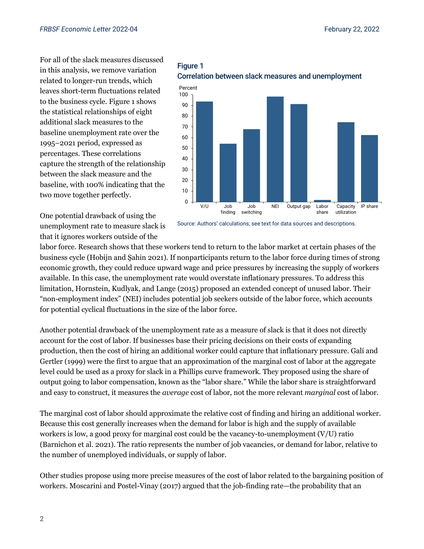For all of the slack measures discussed in this analysis, we remove variation related to longer-run trends, which leaves short-term fluctuations related to the business cycle. Figure 1 shows the statistical relationships of eight additional slack measures to the baseline unemployment rate over the 1995–2021 period, expressed as percentages. These correlations capture the strength of the relationship between the slack measure and the baseline, with 100% indicating that the two move together perfectly.

One potential drawback of using the unemployment rate to measure slack is that it ignores workers outside of the





Source: Authors' calculations; see text for data sources and descriptions.

labor force. Research shows that these workers tend to return to the labor market at certain phases of the business cycle (Hobijn and Şahin 2021). If nonparticipants return to the labor force during times of strong economic growth, they could reduce upward wage and price pressures by increasing the supply of workers available. In this case, the unemployment rate would overstate inflationary pressures. To address this limitation, Hornstein, Kudlyak, and Lange (2015) proposed an extended concept of unused labor. Their "non-employment index" (NEI) includes potential job seekers outside of the labor force, which accounts for potential cyclical fluctuations in the size of the labor force.

Another potential drawback of the unemployment rate as a measure of slack is that it does not directly account for the cost of labor. If businesses base their pricing decisions on their costs of expanding production, then the cost of hiring an additional worker could capture that inflationary pressure. Galí and Gertler (1999) were the first to argue that an approximation of the marginal cost of labor at the aggregate level could be used as a proxy for slack in a Phillips curve framework. They proposed using the share of output going to labor compensation, known as the "labor share." While the labor share is straightforward and easy to construct, it measures the *average* cost of labor, not the more relevant *marginal* cost of labor.

The marginal cost of labor should approximate the relative cost of finding and hiring an additional worker. Because this cost generally increases when the demand for labor is high and the supply of available workers is low, a good proxy for marginal cost could be the vacancy-to-unemployment (V/U) ratio (Barnichon et al. 2021). The ratio represents the number of job vacancies, or demand for labor, relative to the number of unemployed individuals, or supply of labor.

Other studies propose using more precise measures of the cost of labor related to the bargaining position of workers. Moscarini and Postel-Vinay (2017) argued that the job-finding rate—the probability that an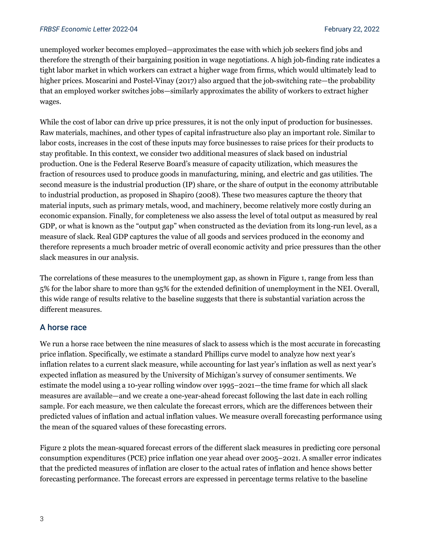unemployed worker becomes employed—approximates the ease with which job seekers find jobs and therefore the strength of their bargaining position in wage negotiations. A high job-finding rate indicates a tight labor market in which workers can extract a higher wage from firms, which would ultimately lead to higher prices. Moscarini and Postel-Vinay (2017) also argued that the job-switching rate—the probability that an employed worker switches jobs—similarly approximates the ability of workers to extract higher wages.

While the cost of labor can drive up price pressures, it is not the only input of production for businesses. Raw materials, machines, and other types of capital infrastructure also play an important role. Similar to labor costs, increases in the cost of these inputs may force businesses to raise prices for their products to stay profitable. In this context, we consider two additional measures of slack based on industrial production. One is the Federal Reserve Board's measure of capacity utilization, which measures the fraction of resources used to produce goods in manufacturing, mining, and electric and gas utilities. The second measure is the industrial production (IP) share, or the share of output in the economy attributable to industrial production, as proposed in Shapiro (2008). These two measures capture the theory that material inputs, such as primary metals, wood, and machinery, become relatively more costly during an economic expansion. Finally, for completeness we also assess the level of total output as measured by real GDP, or what is known as the "output gap" when constructed as the deviation from its long-run level, as a measure of slack. Real GDP captures the value of all goods and services produced in the economy and therefore represents a much broader metric of overall economic activity and price pressures than the other slack measures in our analysis.

The correlations of these measures to the unemployment gap, as shown in Figure 1, range from less than 5% for the labor share to more than 95% for the extended definition of unemployment in the NEI. Overall, this wide range of results relative to the baseline suggests that there is substantial variation across the different measures.

#### A horse race

We run a horse race between the nine measures of slack to assess which is the most accurate in forecasting price inflation. Specifically, we estimate a standard Phillips curve model to analyze how next year's inflation relates to a current slack measure, while accounting for last year's inflation as well as next year's expected inflation as measured by the University of Michigan's survey of consumer sentiments. We estimate the model using a 10-year rolling window over 1995–2021—the time frame for which all slack measures are available—and we create a one-year-ahead forecast following the last date in each rolling sample. For each measure, we then calculate the forecast errors, which are the differences between their predicted values of inflation and actual inflation values. We measure overall forecasting performance using the mean of the squared values of these forecasting errors.

Figure 2 plots the mean-squared forecast errors of the different slack measures in predicting core personal consumption expenditures (PCE) price inflation one year ahead over 2005–2021. A smaller error indicates that the predicted measures of inflation are closer to the actual rates of inflation and hence shows better forecasting performance. The forecast errors are expressed in percentage terms relative to the baseline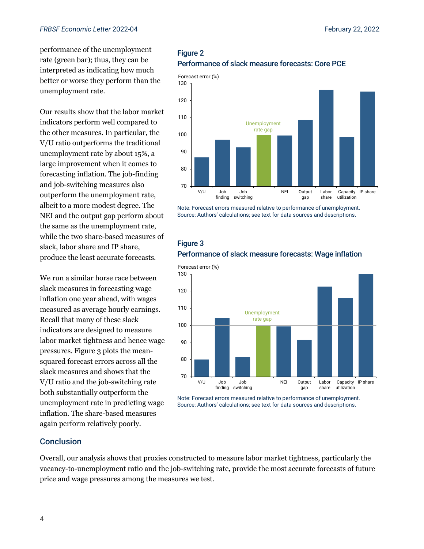performance of the unemployment rate (green bar); thus, they can be interpreted as indicating how much better or worse they perform than the unemployment rate.

Our results show that the labor market indicators perform well compared to the other measures. In particular, the V/U ratio outperforms the traditional unemployment rate by about 15%, a large improvement when it comes to forecasting inflation. The job-finding and job-switching measures also outperform the unemployment rate, albeit to a more modest degree. The NEI and the output gap perform about the same as the unemployment rate, while the two share-based measures of slack, labor share and IP share, produce the least accurate forecasts.

We run a similar horse race between slack measures in forecasting wage inflation one year ahead, with wages measured as average hourly earnings. Recall that many of these slack indicators are designed to measure labor market tightness and hence wage pressures. Figure 3 plots the meansquared forecast errors across all the slack measures and shows that the V/U ratio and the job-switching rate both substantially outperform the unemployment rate in predicting wage inflation. The share-based measures again perform relatively poorly.

#### Figure 2 Performance of slack measure forecasts: Core PCE



Note: Forecast errors measured relative to performance of unemployment. Source: Authors' calculations; see text for data sources and descriptions.





Note: Forecast errors measured relative to performance of unemployment. Source: Authors' calculations; see text for data sources and descriptions.

#### Conclusion

Overall, our analysis shows that proxies constructed to measure labor market tightness, particularly the vacancy-to-unemployment ratio and the job-switching rate, provide the most accurate forecasts of future price and wage pressures among the measures we test.